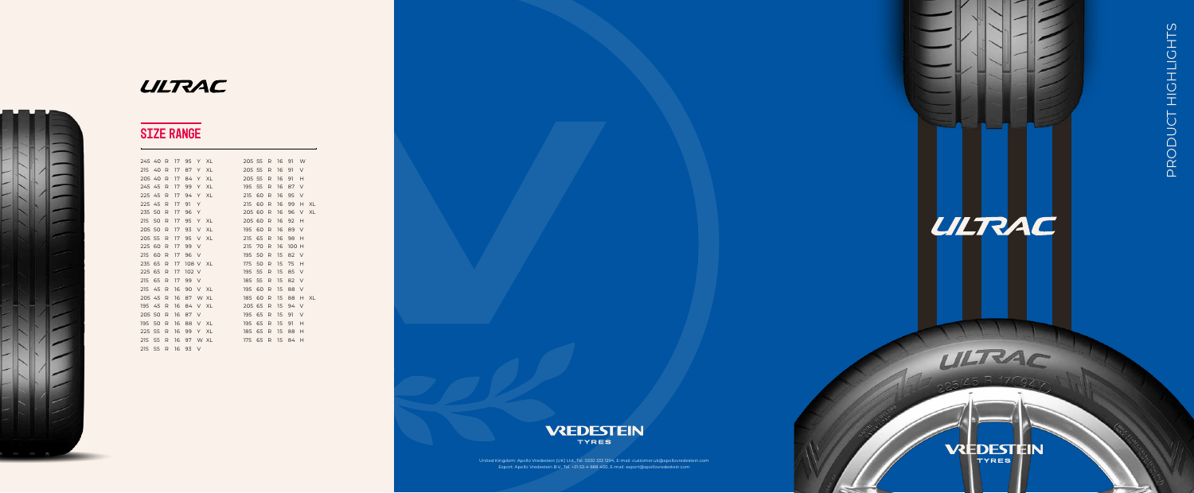

## **ULTRAC**



# **VREDESTEIN**

**TYRES** 

ULTRAC

United Kingdom: Apollo Vredestein (UK) Ltd., Tel. 0330 333 1294, E-mail: customer.uk@apollovredestein.com Export: Apollo Vredestein B.V., Tel. +31-53-4 888 400, E-mail: export@apollovredestein.com

## SIZE RANGE